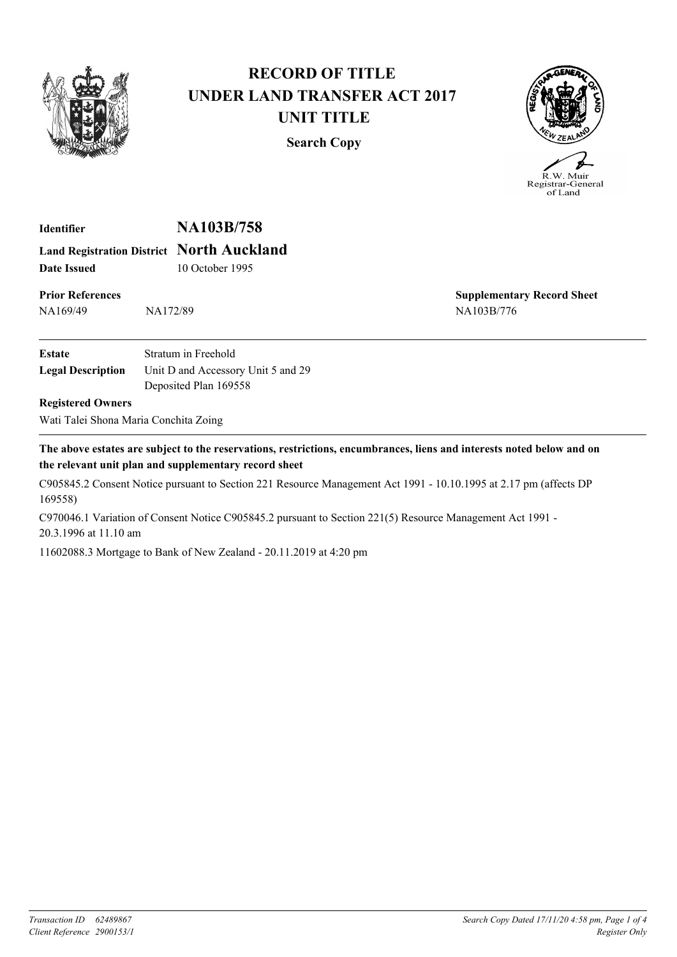

## **RECORD OF TITLE UNDER LAND TRANSFER ACT 2017 UNIT TITLE**

**Search Copy**



**Identifier NA103B/758 Land Registration District North Auckland Date Issued** 10 October 1995

**Prior References** NA169/49 NA172/89

**Supplementary Record Sheet** NA103B/776

| Estate                   | Stratum in Freehold                |
|--------------------------|------------------------------------|
| <b>Legal Description</b> | Unit D and Accessory Unit 5 and 29 |
|                          | Deposited Plan 169558              |

## **Registered Owners**

Wati Talei Shona Maria Conchita Zoing

**The above estates are subject to the reservations, restrictions, encumbrances, liens and interests noted below and on the relevant unit plan and supplementary record sheet**

C905845.2 Consent Notice pursuant to Section 221 Resource Management Act 1991 - 10.10.1995 at 2.17 pm (affects DP 169558)

C970046.1 Variation of Consent Notice C905845.2 pursuant to Section 221(5) Resource Management Act 1991 - 20.3.1996 at 11.10 am

11602088.3 Mortgage to Bank of New Zealand - 20.11.2019 at 4:20 pm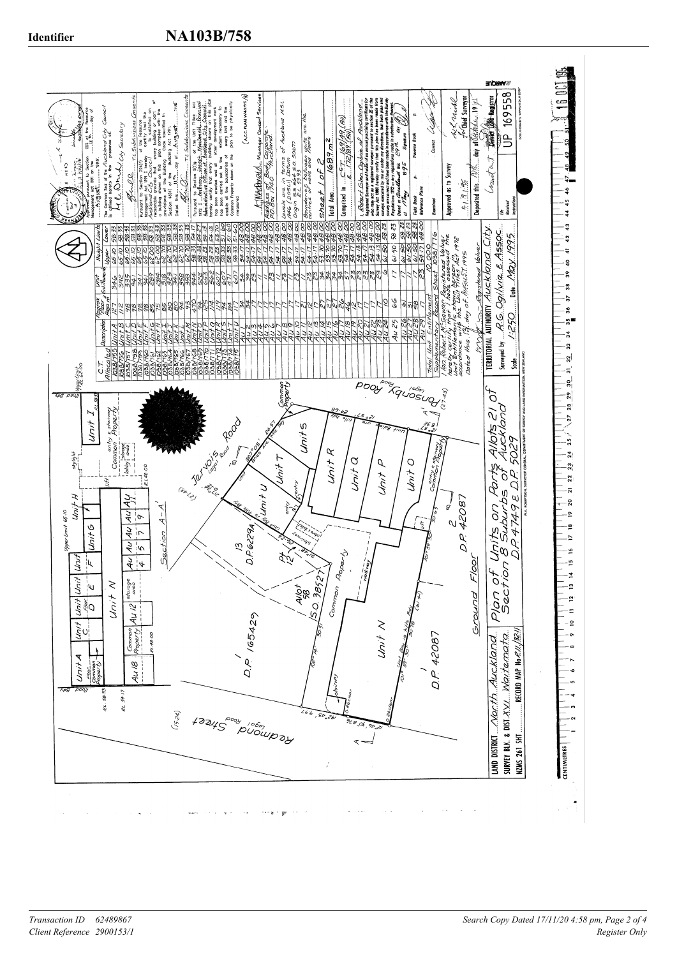

# *Client Reference 2900153/1*

*Register Only Transaction ID 62489867 Search Copy Dated 17/11/20 4:58 pm, Page 2 of 4*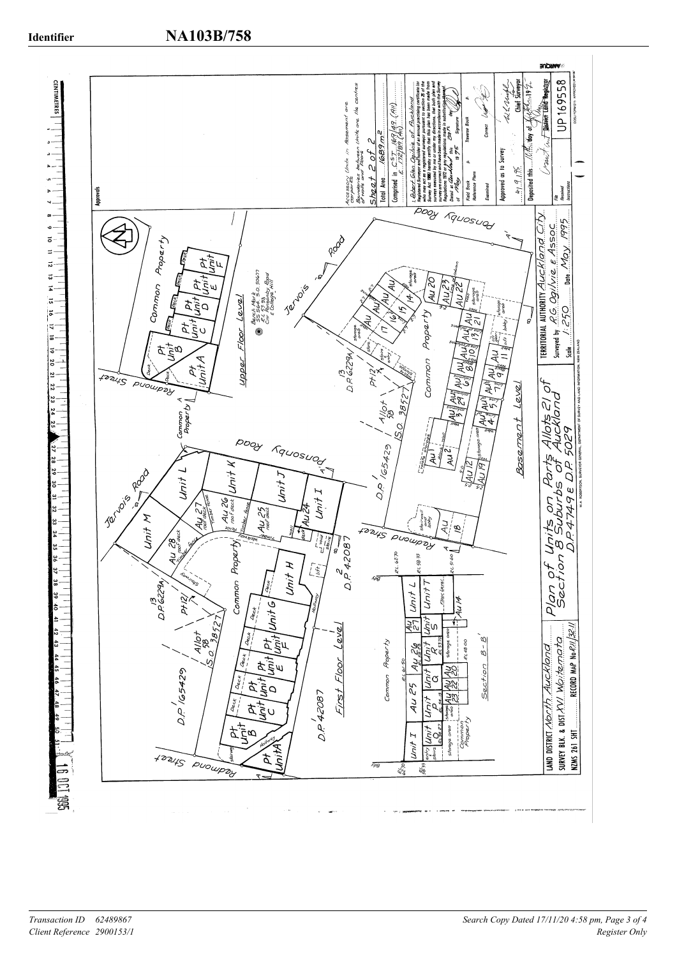